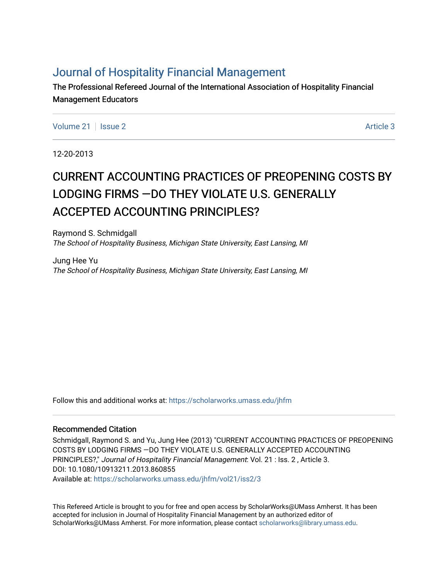# [Journal of Hospitality Financial Management](https://scholarworks.umass.edu/jhfm)

The Professional Refereed Journal of the International Association of Hospitality Financial Management Educators

[Volume 21](https://scholarworks.umass.edu/jhfm/vol21) | [Issue 2](https://scholarworks.umass.edu/jhfm/vol21/iss2) Article 3

12-20-2013

# CURRENT ACCOUNTING PRACTICES OF PREOPENING COSTS BY LODGING FIRMS —DO THEY VIOLATE U.S. GENERALLY ACCEPTED ACCOUNTING PRINCIPLES?

Raymond S. Schmidgall The School of Hospitality Business, Michigan State University, East Lansing, MI

Jung Hee Yu The School of Hospitality Business, Michigan State University, East Lansing, MI

Follow this and additional works at: [https://scholarworks.umass.edu/jhfm](https://scholarworks.umass.edu/jhfm?utm_source=scholarworks.umass.edu%2Fjhfm%2Fvol21%2Fiss2%2F3&utm_medium=PDF&utm_campaign=PDFCoverPages) 

# Recommended Citation

Schmidgall, Raymond S. and Yu, Jung Hee (2013) "CURRENT ACCOUNTING PRACTICES OF PREOPENING COSTS BY LODGING FIRMS —DO THEY VIOLATE U.S. GENERALLY ACCEPTED ACCOUNTING PRINCIPLES?," Journal of Hospitality Financial Management: Vol. 21 : Iss. 2 , Article 3. DOI: 10.1080/10913211.2013.860855 Available at: [https://scholarworks.umass.edu/jhfm/vol21/iss2/3](https://scholarworks.umass.edu/jhfm/vol21/iss2/3?utm_source=scholarworks.umass.edu%2Fjhfm%2Fvol21%2Fiss2%2F3&utm_medium=PDF&utm_campaign=PDFCoverPages) 

This Refereed Article is brought to you for free and open access by ScholarWorks@UMass Amherst. It has been accepted for inclusion in Journal of Hospitality Financial Management by an authorized editor of ScholarWorks@UMass Amherst. For more information, please contact [scholarworks@library.umass.edu.](mailto:scholarworks@library.umass.edu)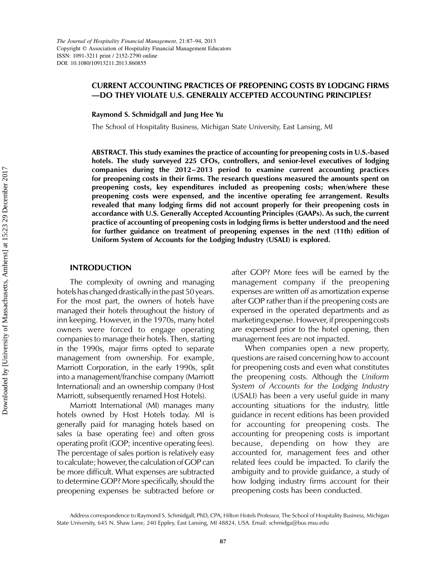Downloaded by [University of Massachusetts, Amherst] at 15:23 29 December 2017 Downloaded by [University of Massachusetts, Amherst] at 15:23 29 December 2017

# CURRENT ACCOUNTING PRACTICES OF PREOPENING COSTS BY LODGING FIRMS —DO THEY VIOLATE U.S. GENERALLY ACCEPTED ACCOUNTING PRINCIPLES?

Raymond S. Schmidgall and Jung Hee Yu

The School of Hospitality Business, Michigan State University, East Lansing, MI

ABSTRACT. This study examines the practice of accounting for preopening costs in U.S.-based hotels. The study surveyed 225 CFOs, controllers, and senior-level executives of lodging companies during the 2012–2013 period to examine current accounting practices for preopening costs in their firms. The research questions measured the amounts spent on preopening costs, key expenditures included as preopening costs; when/where these preopening costs were expensed, and the incentive operating fee arrangement. Results revealed that many lodging firms did not account properly for their preopening costs in accordance with U.S. Generally Accepted Accounting Principles (GAAPs). As such, the current practice of accounting of preopening costs in lodging firms is better understood and the need for further guidance on treatment of preopening expenses in the next (11th) edition of Uniform System of Accounts for the Lodging Industry (USALI) is explored.

# INTRODUCTION

The complexity of owning and managing hotels has changed drastically inthe past 50 years. For the most part, the owners of hotels have managed their hotels throughout the history of inn keeping. However, in the 1970s, many hotel owners were forced to engage operating companies to manage their hotels. Then, starting in the 1990s, major firms opted to separate management from ownership. For example, Marriott Corporation, in the early 1990s, split into a management/franchise company (Marriott International) and an ownership company (Host Marriott, subsequently renamed Host Hotels).

Marriott International (MI) manages many hotels owned by Host Hotels today. MI is generally paid for managing hotels based on sales (a base operating fee) and often gross operating profit (GOP; incentive operating fees). The percentage of sales portion is relatively easy to calculate; however, the calculation of GOP can be more difficult. What expenses are subtracted to determine GOP? More specifically, should the preopening expenses be subtracted before or

after GOP? More fees will be earned by the management company if the preopening expenses are written off as amortization expense after GOP rather than if the preopening costs are expensed in the operated departments and as marketing expense. However, if preopening costs are expensed prior to the hotel opening, then management fees are not impacted.

When companies open a new property, questions are raised concerning how to account for preopening costs and even what constitutes the preopening costs. Although the Uniform System of Accounts for the Lodging Industry (USALI) has been a very useful guide in many accounting situations for the industry, little guidance in recent editions has been provided for accounting for preopening costs. The accounting for preopening costs is important because, depending on how they are accounted for, management fees and other related fees could be impacted. To clarify the ambiguity and to provide guidance, a study of how lodging industry firms account for their preopening costs has been conducted.

Address correspondence to Raymond S. Schmidgall, PhD, CPA, Hilton Hotels Professor, The School of Hospitality Business, Michigan State University, 645 N. Shaw Lane, 240 Eppley, East Lansing, MI 48824, USA. Email: schmidga@bus.msu.edu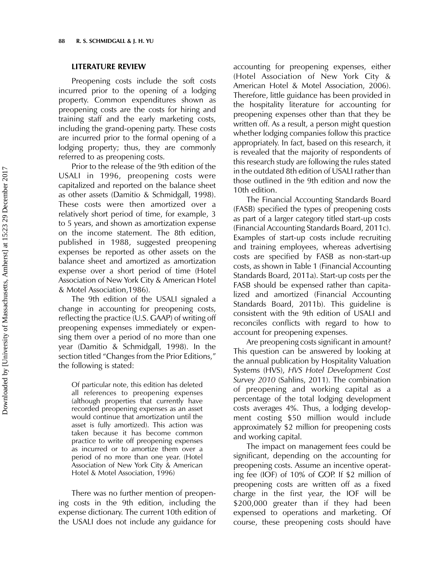#### LITERATURE REVIEW

Preopening costs include the soft costs incurred prior to the opening of a lodging property. Common expenditures shown as preopening costs are the costs for hiring and training staff and the early marketing costs, including the grand-opening party. These costs are incurred prior to the formal opening of a lodging property; thus, they are commonly referred to as preopening costs.

Prior to the release of the 9th edition of the USALI in 1996, preopening costs were capitalized and reported on the balance sheet as other assets (Damitio & Schmidgall, 1998). These costs were then amortized over a relatively short period of time, for example, 3 to 5 years, and shown as amortization expense on the income statement. The 8th edition, published in 1988, suggested preopening expenses be reported as other assets on the balance sheet and amortized as amortization expense over a short period of time (Hotel Association of New York City & American Hotel & Motel Association,1986).

The 9th edition of the USALI signaled a change in accounting for preopening costs, reflecting the practice (U.S. GAAP) of writing off preopening expenses immediately or expensing them over a period of no more than one year (Damitio & Schmidgall, 1998). In the section titled "Changes from the Prior Editions," the following is stated:

Of particular note, this edition has deleted all references to preopening expenses (although properties that currently have recorded preopening expenses as an asset would continue that amortization until the asset is fully amortized). This action was taken because it has become common practice to write off preopening expenses as incurred or to amortize them over a period of no more than one year. (Hotel Association of New York City & American Hotel & Motel Association, 1996)

There was no further mention of preopening costs in the 9th edition, including the expense dictionary. The current 10th edition of the USALI does not include any guidance for accounting for preopening expenses, either (Hotel Association of New York City & American Hotel & Motel Association, 2006). Therefore, little guidance has been provided in the hospitality literature for accounting for preopening expenses other than that they be written off. As a result, a person might question whether lodging companies follow this practice appropriately. In fact, based on this research, it is revealed that the majority of respondents of this research study are following the rules stated in the outdated 8th edition of USALI rather than those outlined in the 9th edition and now the 10th edition.

The Financial Accounting Standards Board (FASB) specified the types of preopening costs as part of a larger category titled start-up costs (Financial Accounting Standards Board, 2011c). Examples of start-up costs include recruiting and training employees, whereas advertising costs are specified by FASB as non-start-up costs, as shown in Table 1 (Financial Accounting Standards Board, 2011a). Start-up costs per the FASB should be expensed rather than capitalized and amortized (Financial Accounting Standards Board, 2011b). This guideline is consistent with the 9th edition of USALI and reconciles conflicts with regard to how to account for preopening expenses.

Are preopening costs significant in amount? This question can be answered by looking at the annual publication by Hospitality Valuation Systems (HVS), HVS Hotel Development Cost Survey 2010 (Sahlins, 2011). The combination of preopening and working capital as a percentage of the total lodging development costs averages 4%. Thus, a lodging development costing \$50 million would include approximately \$2 million for preopening costs and working capital.

The impact on management fees could be significant, depending on the accounting for preopening costs. Assume an incentive operating fee (IOF) of 10% of GOP. If \$2 million of preopening costs are written off as a fixed charge in the first year, the IOF will be \$200,000 greater than if they had been expensed to operations and marketing. Of course, these preopening costs should have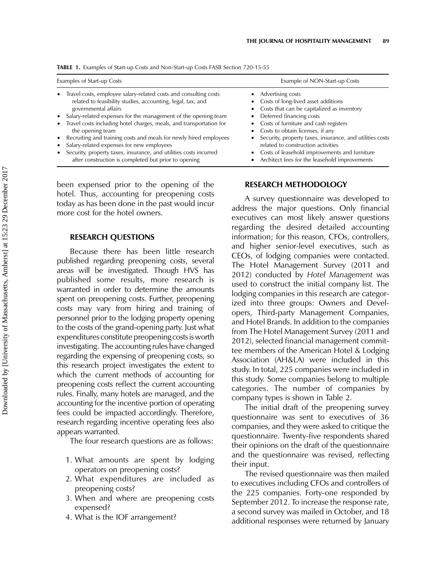| Examples of Start-up Costs                                                                                                                                                                                                                                                                                                                                                                                                                                                                                                                                                      | Example of NON-Start-up Costs                                                                                                                                                                                                                                                                                                                                                                                                     |
|---------------------------------------------------------------------------------------------------------------------------------------------------------------------------------------------------------------------------------------------------------------------------------------------------------------------------------------------------------------------------------------------------------------------------------------------------------------------------------------------------------------------------------------------------------------------------------|-----------------------------------------------------------------------------------------------------------------------------------------------------------------------------------------------------------------------------------------------------------------------------------------------------------------------------------------------------------------------------------------------------------------------------------|
| • Travel costs, employee salary-related costs and consulting costs<br>related to feasibility studies, accounting, legal, tax, and<br>governmental affairs<br>• Salary-related expenses for the management of the opening team<br>• Travel costs including hotel charges, meals, and transportation for<br>the opening team<br>• Recruiting and training costs and meals for newly hired employees<br>• Salary-related expenses for new employees<br>• Security, property taxes, insurance, and utilities costs incurred<br>after construction is completed but prior to opening | • Advertising costs<br>• Costs of long-lived asset additions<br>• Costs that can be capitalized as inventory<br>• Deferred financing costs<br>• Costs of furniture and cash registers<br>• Costs to obtain licenses, if any<br>Security, property taxes, insurance, and utilities costs<br>related to construction activities<br>• Costs of leasehold improvements and furniture<br>Architect fees for the leasehold improvements |

TABLE 1. Examples of Start-up Costs and Non-Start-up Costs FASB Section 720-15-55

been expensed prior to the opening of the hotel. Thus, accounting for preopening costs today as has been done in the past would incur more cost for the hotel owners.

#### RESEARCH QUESTIONS

Because there has been little research published regarding preopening costs, several areas will be investigated. Though HVS has published some results, more research is warranted in order to determine the amounts spent on preopening costs. Further, preopening costs may vary from hiring and training of personnel prior to the lodging property opening to the costs of the grand-opening party. Just what expenditures constitute preopening costs is worth investigating. The accounting rules have changed regarding the expensing of preopening costs, so this research project investigates the extent to which the current methods of accounting for preopening costs reflect the current accounting rules. Finally, many hotels are managed, and the accounting for the incentive portion of operating fees could be impacted accordingly. Therefore, research regarding incentive operating fees also appears warranted.

The four research questions are as follows:

- 1. What amounts are spent by lodging operators on preopening costs?
- 2. What expenditures are included as preopening costs?
- 3. When and where are preopening costs expensed?
- 4. What is the IOF arrangement?

#### RESEARCH METHODOLOGY

A survey questionnaire was developed to address the major questions. Only financial executives can most likely answer questions regarding the desired detailed accounting information; for this reason, CFOs, controllers, and higher senior-level executives, such as CEOs, of lodging companies were contacted. The Hotel Management Survey (2011 and 2012) conducted by Hotel Management was used to construct the initial company list. The lodging companies in this research are categorized into three groups: Owners and Developers, Third-party Management Companies, and Hotel Brands. In addition to the companies from The Hotel Management Survey (2011 and 2012), selected financial management committee members of the American Hotel & Lodging Association (AH&LA) were included in this study. In total, 225 companies were included in this study. Some companies belong to multiple categories. The number of companies by company types is shown in Table 2.

The initial draft of the preopening survey questionnaire was sent to executives of 36 companies, and they were asked to critique the questionnaire. Twenty-five respondents shared their opinions on the draft of the questionnaire and the questionnaire was revised, reflecting their input.

The revised questionnaire was then mailed to executives including CFOs and controllers of the 225 companies. Forty-one responded by September 2012. To increase the response rate, a second survey was mailed in October, and 18 additional responses were returned by January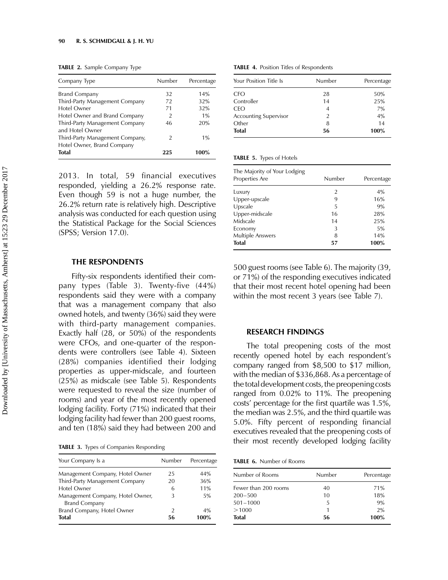TABLE 2. Sample Company Type

| Company Type                                                  | Number        | Percentage |
|---------------------------------------------------------------|---------------|------------|
| <b>Brand Company</b>                                          | 32            | 14%        |
| Third-Party Management Company                                | 72            | 32%        |
| Hotel Owner                                                   | 71            | 32%        |
| Hotel Owner and Brand Company                                 | $\mathcal{P}$ | 1%         |
| Third-Party Management Company<br>and Hotel Owner             | 46            | 20%        |
| Third-Party Management Company,<br>Hotel Owner, Brand Company | $\mathcal{P}$ | 1%         |
| <b>Total</b>                                                  | 225           | 100%       |

2013. In total, 59 financial executives responded, yielding a 26.2% response rate. Even though 59 is not a huge number, the 26.2% return rate is relatively high. Descriptive analysis was conducted for each question using the Statistical Package for the Social Sciences (SPSS; Version 17.0).

#### THE RESPONDENTS

Fifty-six respondents identified their company types (Table 3). Twenty-five (44%) respondents said they were with a company that was a management company that also owned hotels, and twenty (36%) said they were with third-party management companies. Exactly half (28, or 50%) of the respondents were CFOs, and one-quarter of the respondents were controllers (see Table 4). Sixteen (28%) companies identified their lodging properties as upper-midscale, and fourteen (25%) as midscale (see Table 5). Respondents were requested to reveal the size (number of rooms) and year of the most recently opened lodging facility. Forty (71%) indicated that their lodging facility had fewer than 200 guest rooms, and ten (18%) said they had between 200 and

TABLE 3. Types of Companies Responding

| Your Company Is a                                        | Number        | Percentage |
|----------------------------------------------------------|---------------|------------|
| Management Company, Hotel Owner                          | 25            | 44%        |
| Third-Party Management Company                           | 20            | 36%        |
| <b>Hotel Owner</b>                                       | 6             | 11%        |
| Management Company, Hotel Owner,<br><b>Brand Company</b> | 3             | 5%         |
| Brand Company, Hotel Owner                               | $\mathcal{P}$ | 4%         |
| <b>Total</b>                                             | 56            | 100%       |

TABLE 4. Position Titles of Respondents

| Your Position Title Is | Number | Percentage |
|------------------------|--------|------------|
| <b>CFO</b>             | 28     | 50%        |
| Controller             | 14     | 25%        |
| <b>CEO</b>             | 4      | 7%         |
| Accounting Supervisor  | 2      | 4%         |
| Other                  | 8      | 14         |
| <b>Total</b>           | 56     | 100%       |

|  |  |  | <b>TABLE 5.</b> Types of Hotels |
|--|--|--|---------------------------------|
|--|--|--|---------------------------------|

| The Majority of Your Lodging<br>Properties Are | Number | Percentage |
|------------------------------------------------|--------|------------|
| Luxury                                         | 2      | 4%         |
| Upper-upscale                                  | 9      | 16%        |
| Upscale                                        | 5      | 9%         |
| Upper-midscale                                 | 16     | 28%        |
| Midscale                                       | 14     | 25%        |
| Economy                                        | 3      | 5%         |
| Multiple Answers                               | 8      | 14%        |
| <b>Total</b>                                   | 57     | 100%       |

500 guest rooms (see Table 6). The majority (39, or 71%) of the responding executives indicated that their most recent hotel opening had been within the most recent 3 years (see Table 7).

#### RESEARCH FINDINGS

The total preopening costs of the most recently opened hotel by each respondent's company ranged from \$8,500 to \$17 million, with the median of \$336,868. As a percentage of the total development costs, the preopening costs ranged from 0.02% to 11%. The preopening costs' percentage for the first quartile was 1.5%, the median was 2.5%, and the third quartile was 5.0%. Fifty percent of responding financial executives revealed that the preopening costs of their most recently developed lodging facility

TABLE 6. Number of Rooms

| Number of Rooms      | Number | Percentage |
|----------------------|--------|------------|
| Fewer than 200 rooms | 40     | 71%        |
| $200 - 500$          | 10     | 18%        |
| $501 - 1000$         | 5      | 9%         |
| >1000                |        | 2%         |
| <b>Total</b>         | 56     | 100%       |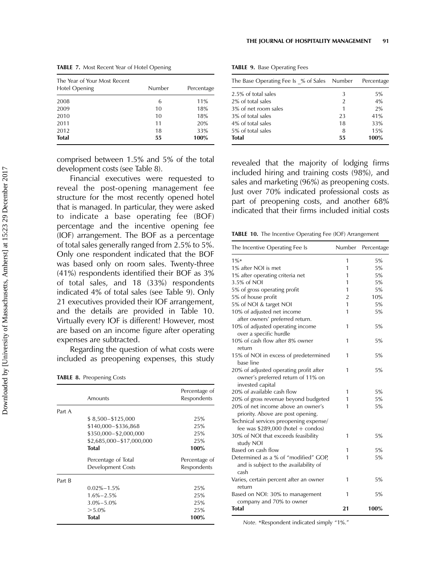| <b>TABLE 7.</b> Most Recent Year of Hotel Opening |  |  |
|---------------------------------------------------|--|--|
|---------------------------------------------------|--|--|

| The Year of Your Most Recent<br>Hotel Opening | Number | Percentage |
|-----------------------------------------------|--------|------------|
| 2008                                          | 6      | 11%        |
| 2009                                          | 10     | 18%        |
| 2010                                          | 10     | 18%        |
| 2011                                          | 11     | 20%        |
| 2012                                          | 18     | 33%        |
| <b>Total</b>                                  | 55     | 100%       |

comprised between 1.5% and 5% of the total development costs (see Table 8).

Financial executives were requested to reveal the post-opening management fee structure for the most recently opened hotel that is managed. In particular, they were asked to indicate a base operating fee (BOF) percentage and the incentive opening fee (IOF) arrangement. The BOF as a percentage of total sales generally ranged from 2.5% to 5%. Only one respondent indicated that the BOF was based only on room sales. Twenty-three (41%) respondents identified their BOF as 3% of total sales, and 18 (33%) respondents indicated 4% of total sales (see Table 9). Only 21 executives provided their IOF arrangement, and the details are provided in Table 10. Virtually every IOF is different! However, most are based on an income figure after operating expenses are subtracted.

Regarding the question of what costs were included as preopening expenses, this study

TABLE 8. Preopening Costs

|        | Amounts                  | Percentage of<br>Respondents |
|--------|--------------------------|------------------------------|
| Part A |                          |                              |
|        | \$8,500 - \$125,000      | 25%                          |
|        | \$140,000-\$336,868      | 25%                          |
|        | \$350,000-\$2,000,000    | 25%                          |
|        | \$2,685,000-\$17,000,000 | 25%                          |
|        | Total                    | 100%                         |
|        | Percentage of Total      | Percentage of                |
|        | Development Costs        | Respondents                  |
| Part B |                          |                              |
|        | $0.02\% - 1.5\%$         | 25%                          |
|        | $1.6\% - 2.5\%$          | 25%                          |
|        | $3.0\% - 5.0\%$          | 25%                          |
|        | $> 5.0\%$                | 25%                          |
|        | <b>Total</b>             | 100%                         |

TABLE 9. Base Operating Fees

| The Base Operating Fee Is % of Sales Number |               | Percentage |
|---------------------------------------------|---------------|------------|
| 2.5% of total sales                         | 3             | 5%         |
| 2% of total sales                           | $\mathcal{P}$ | 4%         |
| 3% of net room sales                        | 1             | 2%         |
| 3% of total sales                           | 23            | 41%        |
| 4% of total sales                           | 18            | 33%        |
| 5% of total sales                           | 8             | 15%        |
| Total                                       | 55            | 100%       |

revealed that the majority of lodging firms included hiring and training costs (98%), and sales and marketing (96%) as preopening costs. Just over 70% indicated professional costs as part of preopening costs, and another 68% indicated that their firms included initial costs

TABLE 10. The Incentive Operating Fee (IOF) Arrangement

| The Incentive Operating Fee Is                                                                                    | Number         | Percentage |
|-------------------------------------------------------------------------------------------------------------------|----------------|------------|
| $1\%$                                                                                                             | 1              | 5%         |
| 1% after NOI is met                                                                                               | 1              | 5%         |
| 1% after operating criteria net                                                                                   | 1              | 5%         |
| 3.5% of NOI                                                                                                       | 1              | 5%         |
| 5% of gross operating profit                                                                                      | 1              | 5%         |
| 5% of house profit                                                                                                | $\overline{2}$ | 10%        |
| 5% of NOI & target NOI                                                                                            | 1              | 5%         |
| 10% of adjusted net income<br>after owners' preferred return.                                                     | 1              | 5%         |
| 10% of adjusted operating income<br>over a specific hurdle                                                        | 1              | 5%         |
| 10% of cash flow after 8% owner<br>return                                                                         | 1              | 5%         |
| 15% of NOI in excess of predetermined<br>base line                                                                | 1              | 5%         |
| 20% of adjusted operating profit after<br>owner's preferred return of 11% on<br>invested capital                  | 1              | 5%         |
| 20% of available cash flow                                                                                        | 1              | 5%         |
| 20% of gross revenue beyond budgeted                                                                              | 1              | 5%         |
| 20% of net income above an owner's<br>priority. Above are post opening.<br>Technical services preopening expense/ | 1              | 5%         |
| fee was $$289,000$ (hotel + condos)<br>30% of NOI that exceeds feasibility                                        | 1              | 5%         |
| study NOI                                                                                                         |                |            |
| Based on cash flow                                                                                                | 1              | 5%         |
| Determined as a % of "modified" GOP,<br>and is subject to the availability of<br>cash                             | 1              | 5%         |
| Varies, certain percent after an owner<br>return                                                                  | 1              | 5%         |
| Based on NOI: 30% to management<br>company and 70% to owner                                                       | 1              | 5%         |
| <b>Total</b>                                                                                                      | 21             | 100%       |

Note. \*Respondent indicated simply "1%."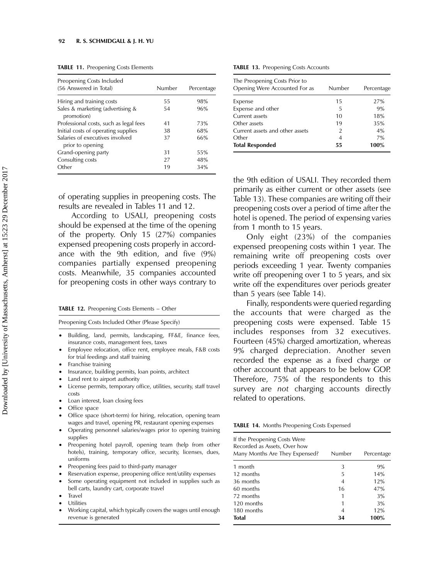|  | <b>TABLE 11. Preopening Costs Elements</b> |  |  |
|--|--------------------------------------------|--|--|
|--|--------------------------------------------|--|--|

| Preopening Costs Included<br>(56 Answered in Total) | Number | Percentage |
|-----------------------------------------------------|--------|------------|
| Hiring and training costs                           | 55     | 98%        |
| Sales & marketing (advertising &<br>promotion)      | 54     | 96%        |
| Professional costs, such as legal fees              | 41     | 73%        |
| Initial costs of operating supplies                 | 38     | 68%        |
| Salaries of executives involved<br>prior to opening | 37     | 66%        |
| Grand-opening party                                 | 31     | 55%        |
| Consulting costs                                    | 27     | 48%        |
| Other                                               | 19     | 34%        |

of operating supplies in preopening costs. The results are revealed in Tables 11 and 12.

According to USALI, preopening costs should be expensed at the time of the opening of the property. Only 15 (27%) companies expensed preopening costs properly in accordance with the 9th edition, and five (9%) companies partially expensed preopening costs. Meanwhile, 35 companies accounted for preopening costs in other ways contrary to

|  | <b>TABLE 12.</b> Preopening Costs Elements – Other |  |  |  |
|--|----------------------------------------------------|--|--|--|
|--|----------------------------------------------------|--|--|--|

Preopening Costs Included Other (Please Specify)

- Building, land, permits, landscaping, FF&E, finance fees, insurance costs, management fees, taxes
- † Employee relocation, office rent, employee meals, F&B costs for trial feedings and staff training
- † Franchise training
- Insurance, building permits, loan points, architect
- Land rent to airport authority
- License permits, temporary office, utilities, security, staff travel costs
- † Loan interest, loan closing fees
- Office space
- Office space (short-term) for hiring, relocation, opening team wages and travel, opening PR, restaurant opening expenses
- † Operating personnel salaries/wages prior to opening training supplies
- † Preopening hotel payroll, opening team (help from other hotels), training, temporary office, security, licenses, dues, uniforms
- Preopening fees paid to third-party manager
- Reservation expense, preopening office rent/utility expenses
- Some operating equipment not included in supplies such as bell carts, laundry cart, corporate travel
- **Travel**
- Utilities
- † Working capital, which typically covers the wages until enough revenue is generated

TABLE 13. Preopening Costs Accounts

| The Preopening Costs Prior to<br>Opening Were Accounted For as | Number        | Percentage |
|----------------------------------------------------------------|---------------|------------|
| Expense                                                        | 15            | 27%        |
| Expense and other                                              | 5             | 9%         |
| Current assets                                                 | 10            | 18%        |
| Other assets                                                   | 19            | 35%        |
| Current assets and other assets                                | $\mathcal{P}$ | 4%         |
| Other                                                          | 4             | 7%         |
| <b>Total Responded</b>                                         | 55            | 100%       |

the 9th edition of USALI. They recorded them primarily as either current or other assets (see Table 13). These companies are writing off their preopening costs over a period of time after the hotel is opened. The period of expensing varies from 1 month to 15 years.

Only eight (23%) of the companies expensed preopening costs within 1 year. The remaining write off preopening costs over periods exceeding 1 year. Twenty companies write off preopening over 1 to 5 years, and six write off the expenditures over periods greater than 5 years (see Table 14).

Finally, respondents were queried regarding the accounts that were charged as the preopening costs were expensed. Table 15 includes responses from 32 executives. Fourteen (45%) charged amortization, whereas 9% charged depreciation. Another seven recorded the expense as a fixed charge or other account that appears to be below GOP. Therefore, 75% of the respondents to this survey are not charging accounts directly related to operations.

TABLE 14. Months Preopening Costs Expensed

| Number | Percentage |
|--------|------------|
| 3      | 9%         |
| 5      | 14%        |
| 4      | 12%        |
| 16     | 47%        |
|        | 3%         |
|        | 3%         |
| 4      | 12%        |
| 34     | 100%       |
|        |            |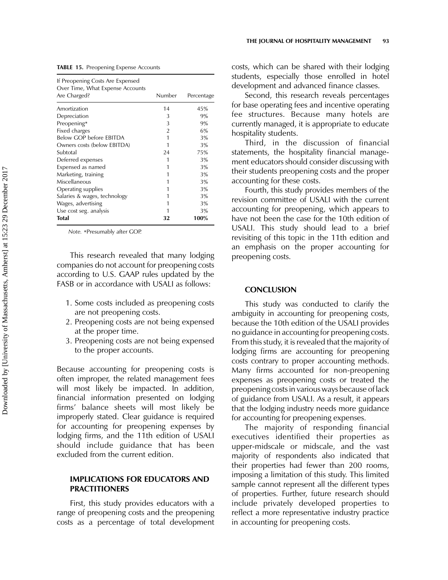|  |  |  |  |  | TABLE 15. Preopening Expense Accounts |
|--|--|--|--|--|---------------------------------------|
|--|--|--|--|--|---------------------------------------|

| If Preopening Costs Are Expensed<br>Over Time, What Expense Accounts<br>Are Charged? | Number         | Percentage |
|--------------------------------------------------------------------------------------|----------------|------------|
|                                                                                      |                |            |
| Amortization                                                                         | 14             | 45%        |
| Depreciation                                                                         | 3              | 9%         |
| Preopening*                                                                          | 3              | 9%         |
| Fixed charges                                                                        | $\overline{2}$ | 6%         |
| Below GOP before EBITDA                                                              | 1              | 3%         |
| Owners costs (below EBITDA)                                                          | 1              | 3%         |
| Subtotal                                                                             | 24             | 75%        |
| Deferred expenses                                                                    | 1              | 3%         |
| Expensed as named                                                                    |                | 3%         |
| Marketing, training                                                                  |                | 3%         |
| Miscellaneous                                                                        |                | 3%         |
| Operating supplies                                                                   |                | 3%         |
| Salaries & wages, technology                                                         | 1              | 3%         |
| Wages, advertising                                                                   |                | 3%         |
| Use cost seg. analysis                                                               |                | 3%         |
| Total                                                                                | 32             | 100%       |

Note. \*Presumably after GOP.

This research revealed that many lodging companies do not account for preopening costs according to U.S. GAAP rules updated by the FASB or in accordance with USALI as follows:

- 1. Some costs included as preopening costs are not preopening costs.
- 2. Preopening costs are not being expensed at the proper time.
- 3. Preopening costs are not being expensed to the proper accounts.

Because accounting for preopening costs is often improper, the related management fees will most likely be impacted. In addition, financial information presented on lodging firms' balance sheets will most likely be improperly stated. Clear guidance is required for accounting for preopening expenses by lodging firms, and the 11th edition of USALI should include guidance that has been excluded from the current edition.

# IMPLICATIONS FOR EDUCATORS AND PRACTITIONERS

First, this study provides educators with a range of preopening costs and the preopening costs as a percentage of total development costs, which can be shared with their lodging students, especially those enrolled in hotel development and advanced finance classes.

Second, this research reveals percentages for base operating fees and incentive operating fee structures. Because many hotels are currently managed, it is appropriate to educate hospitality students.

Third, in the discussion of financial statements, the hospitality financial management educators should consider discussing with their students preopening costs and the proper accounting for these costs.

Fourth, this study provides members of the revision committee of USALI with the current accounting for preopening, which appears to have not been the case for the 10th edition of USALI. This study should lead to a brief revisiting of this topic in the 11th edition and an emphasis on the proper accounting for preopening costs.

#### **CONCLUSION**

This study was conducted to clarify the ambiguity in accounting for preopening costs, because the 10th edition of the USALI provides no guidance in accounting for preopening costs. From this study, it is revealed that the majority of lodging firms are accounting for preopening costs contrary to proper accounting methods. Many firms accounted for non-preopening expenses as preopening costs or treated the preopening costs in various ways because of lack of guidance from USALI. As a result, it appears that the lodging industry needs more guidance for accounting for preopening expenses.

The majority of responding financial executives identified their properties as upper-midscale or midscale, and the vast majority of respondents also indicated that their properties had fewer than 200 rooms, imposing a limitation of this study. This limited sample cannot represent all the different types of properties. Further, future research should include privately developed properties to reflect a more representative industry practice in accounting for preopening costs.